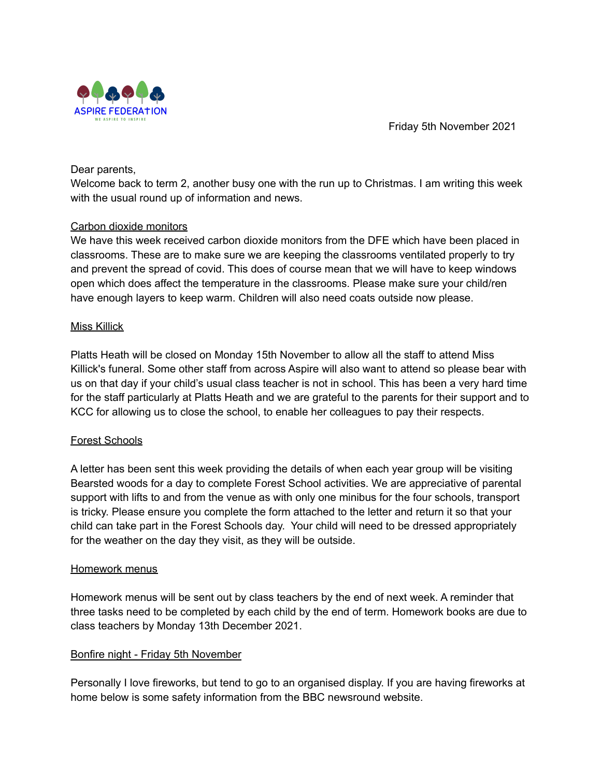Friday 5th November 2021



Dear parents,

Welcome back to term 2, another busy one with the run up to Christmas. I am writing this week with the usual round up of information and news.

#### Carbon dioxide monitors

We have this week received carbon dioxide monitors from the DFE which have been placed in classrooms. These are to make sure we are keeping the classrooms ventilated properly to try and prevent the spread of covid. This does of course mean that we will have to keep windows open which does affect the temperature in the classrooms. Please make sure your child/ren have enough layers to keep warm. Children will also need coats outside now please.

## Miss Killick

Platts Heath will be closed on Monday 15th November to allow all the staff to attend Miss Killick's funeral. Some other staff from across Aspire will also want to attend so please bear with us on that day if your child's usual class teacher is not in school. This has been a very hard time for the staff particularly at Platts Heath and we are grateful to the parents for their support and to KCC for allowing us to close the school, to enable her colleagues to pay their respects.

## Forest Schools

A letter has been sent this week providing the details of when each year group will be visiting Bearsted woods for a day to complete Forest School activities. We are appreciative of parental support with lifts to and from the venue as with only one minibus for the four schools, transport is tricky. Please ensure you complete the form attached to the letter and return it so that your child can take part in the Forest Schools day. Your child will need to be dressed appropriately for the weather on the day they visit, as they will be outside.

#### Homework menus

Homework menus will be sent out by class teachers by the end of next week. A reminder that three tasks need to be completed by each child by the end of term. Homework books are due to class teachers by Monday 13th December 2021.

## Bonfire night - Friday 5th November

Personally I love fireworks, but tend to go to an organised display. If you are having fireworks at home below is some safety information from the BBC newsround website.